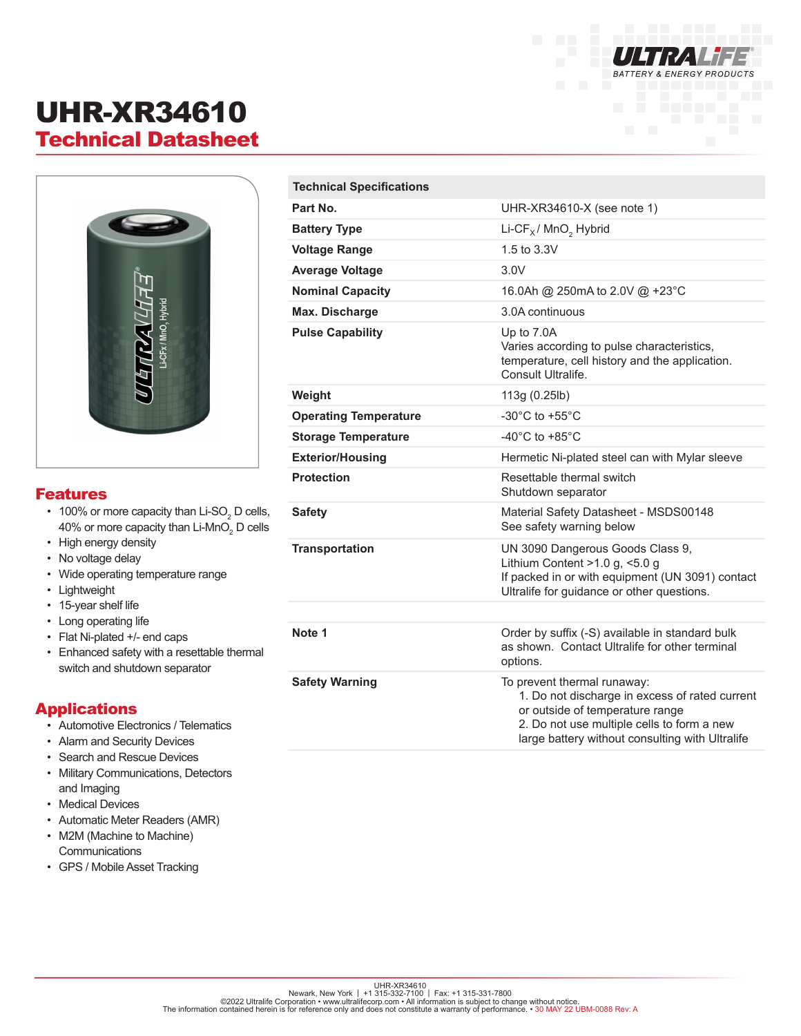

# UHR-XR34610 Technical Datasheet



### Features

- 100% or more capacity than Li-SO $_{\tiny 2}$  D cells, 40% or more capacity than Li-MnO $_{\tiny 2}$  D cells
- High energy density
- No voltage delay
- Wide operating temperature range
- Lightweight
- 15-year shelf life
- Long operating life
- Flat Ni-plated +/- end caps
- Enhanced safety with a resettable thermal switch and shutdown separator

### Applications

- Automotive Electronics / Telematics
- Alarm and Security Devices
- Search and Rescue Devices
- Military Communications, Detectors and Imaging
- Medical Devices
- Automatic Meter Readers (AMR)
- M2M (Machine to Machine) **Communications**
- GPS / Mobile Asset Tracking

| <b>Technical Specifications</b> |                                                                                                                                                                                                                   |
|---------------------------------|-------------------------------------------------------------------------------------------------------------------------------------------------------------------------------------------------------------------|
| Part No.                        | UHR-XR34610-X (see note 1)                                                                                                                                                                                        |
| <b>Battery Type</b>             | Li-CF $_X$ / MnO <sub>2</sub> Hybrid                                                                                                                                                                              |
| <b>Voltage Range</b>            | 1.5 to 3.3V                                                                                                                                                                                                       |
| <b>Average Voltage</b>          | 3.0V                                                                                                                                                                                                              |
| <b>Nominal Capacity</b>         | 16.0Ah @ 250mA to 2.0V @ +23°C                                                                                                                                                                                    |
| Max. Discharge                  | 3.0A continuous                                                                                                                                                                                                   |
| <b>Pulse Capability</b>         | Up to 7.0A<br>Varies according to pulse characteristics,<br>temperature, cell history and the application.<br>Consult Ultralife.                                                                                  |
| Weight                          | 113g (0.25lb)                                                                                                                                                                                                     |
| <b>Operating Temperature</b>    | -30 $^{\circ}$ C to +55 $^{\circ}$ C                                                                                                                                                                              |
| <b>Storage Temperature</b>      | -40 $^{\circ}$ C to +85 $^{\circ}$ C                                                                                                                                                                              |
| <b>Exterior/Housing</b>         | Hermetic Ni-plated steel can with Mylar sleeve                                                                                                                                                                    |
| <b>Protection</b>               | Resettable thermal switch<br>Shutdown separator                                                                                                                                                                   |
| <b>Safety</b>                   | Material Safety Datasheet - MSDS00148<br>See safety warning below                                                                                                                                                 |
| <b>Transportation</b>           | UN 3090 Dangerous Goods Class 9,<br>Lithium Content $>1.0$ g, $< 5.0$ g<br>If packed in or with equipment (UN 3091) contact<br>Ultralife for guidance or other questions.                                         |
|                                 |                                                                                                                                                                                                                   |
| Note 1                          | Order by suffix (-S) available in standard bulk<br>as shown. Contact Ultralife for other terminal<br>options.                                                                                                     |
| <b>Safety Warning</b>           | To prevent thermal runaway:<br>1. Do not discharge in excess of rated current<br>or outside of temperature range<br>2. Do not use multiple cells to form a new<br>large battery without consulting with Ultralife |